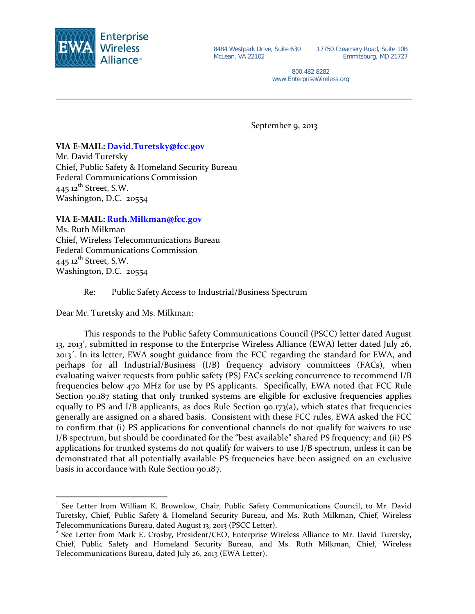

17750 Creamery Road, Suite 10B Emmitsburg, MD 21727

800.482.8282 www.EnterpriseWireless.org

September 9, 2013

## **VIA E-MAIL: [David.Turetsky@fcc.gov](mailto:David.Turetsky@fcc.gov)**

Mr. David Turetsky Chief, Public Safety & Homeland Security Bureau Federal Communications Commission  $445$  12<sup>th</sup> Street, S.W. Washington, D.C. 20554

**VIA E-MAIL: [Ruth.Milkman@fcc.gov](mailto:Ruth.Milkman@fcc.gov)**

Ms. Ruth Milkman Chief, Wireless Telecommunications Bureau Federal Communications Commission 445  $12^{th}$  Street, S.W. Washington, D.C. 20554

Re: Public Safety Access to Industrial/Business Spectrum

Dear Mr. Turetsky and Ms. Milkman:

This responds to the Public Safety Communications Council (PSCC) letter dated August [1](#page-0-0)3, 2013<sup>1</sup>, submitted in response to the Enterprise Wireless Alliance (EWA) letter dated July 26, [2](#page-0-1)013<sup>2</sup>. In its letter, EWA sought guidance from the FCC regarding the standard for EWA, and perhaps for all Industrial/Business (I/B) frequency advisory committees (FACs), when evaluating waiver requests from public safety (PS) FACs seeking concurrence to recommend I/B frequencies below 470 MHz for use by PS applicants. Specifically, EWA noted that FCC Rule Section 90.187 stating that only trunked systems are eligible for exclusive frequencies applies equally to PS and I/B applicants, as does Rule Section  $90.173(a)$ , which states that frequencies generally are assigned on a shared basis. Consistent with these FCC rules, EWA asked the FCC to confirm that (i) PS applications for conventional channels do not qualify for waivers to use I/B spectrum, but should be coordinated for the "best available" shared PS frequency; and (ii) PS applications for trunked systems do not qualify for waivers to use I/B spectrum, unless it can be demonstrated that all potentially available PS frequencies have been assigned on an exclusive basis in accordance with Rule Section 90.187.

<span id="page-0-0"></span><sup>&</sup>lt;sup>1</sup> See Letter from William K. Brownlow, Chair, Public Safety Communications Council, to Mr. David Turetsky, Chief, Public Safety & Homeland Security Bureau, and Ms. Ruth Milkman, Chief, Wireless Telecommunications Bureau, dated August 13, 2013 (PSCC Letter).

<span id="page-0-1"></span><sup>2</sup> See Letter from Mark E. Crosby, President/CEO, Enterprise Wireless Alliance to Mr. David Turetsky, Chief, Public Safety and Homeland Security Bureau, and Ms. Ruth Milkman, Chief, Wireless Telecommunications Bureau, dated July 26, 2013 (EWA Letter).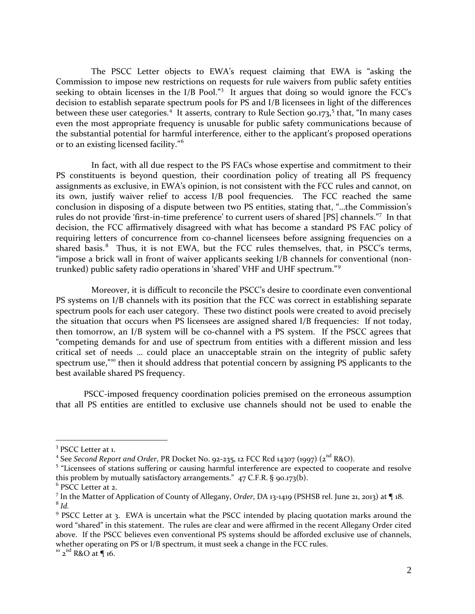The PSCC Letter objects to EWA's request claiming that EWA is "asking the Commission to impose new restrictions on requests for rule waivers from public safety entities seeking to obtain licenses in the I/B Pool."<sup>[3](#page-1-0)</sup> It argues that doing so would ignore the FCC's decision to establish separate spectrum pools for PS and I/B licensees in light of the differences between these user categories.<sup>[4](#page-1-1)</sup> It asserts, contrary to Rule Section 90.173,<sup>[5](#page-1-2)</sup> that, "In many cases even the most appropriate frequency is unusable for public safety communications because of the substantial potential for harmful interference, either to the applicant's proposed operations or to an existing licensed facility."[6](#page-1-3)

In fact, with all due respect to the PS FACs whose expertise and commitment to their PS constituents is beyond question, their coordination policy of treating all PS frequency assignments as exclusive, in EWA's opinion, is not consistent with the FCC rules and cannot, on its own, justify waiver relief to access I/B pool frequencies. The FCC reached the same conclusion in disposing of a dispute between two PS entities, stating that, "…the Commission's rules do not provide 'first-in-time preference' to current users of shared [PS] channels."[7](#page-1-4) In that decision, the FCC affirmatively disagreed with what has become a standard PS FAC policy of requiring letters of concurrence from co-channel licensees before assigning frequencies on a shared basis.<sup>[8](#page-1-5)</sup> Thus, it is not EWA, but the FCC rules themselves, that, in PSCC's terms, "impose a brick wall in front of waiver applicants seeking I/B channels for conventional (nontrunked) public safety radio operations in 'shared' VHF and UHF spectrum."[9](#page-1-6)

Moreover, it is difficult to reconcile the PSCC's desire to coordinate even conventional PS systems on I/B channels with its position that the FCC was correct in establishing separate spectrum pools for each user category. These two distinct pools were created to avoid precisely the situation that occurs when PS licensees are assigned shared I/B frequencies: If not today, then tomorrow, an I/B system will be co-channel with a PS system. If the PSCC agrees that "competing demands for and use of spectrum from entities with a different mission and less critical set of needs … could place an unacceptable strain on the integrity of public safety spectrum use,"<sup>[10](#page-1-7)</sup> then it should address that potential concern by assigning PS applicants to the best available shared PS frequency.

PSCC-imposed frequency coordination policies premised on the erroneous assumption that all PS entities are entitled to exclusive use channels should not be used to enable the

<span id="page-1-0"></span><sup>&</sup>lt;sup>3</sup> PSCC Letter at 1.

<span id="page-1-1"></span><sup>&</sup>lt;sup>4</sup> See *Second Report and Order*, PR Docket No. 92-235, 12 FCC Rcd 14307 (1997) (2<sup>nd</sup> R&O).

<span id="page-1-2"></span><sup>&</sup>lt;sup>5</sup> "Licensees of stations suffering or causing harmful interference are expected to cooperate and resolve this problem by mutually satisfactory arrangements." 47 C.F.R. § 90.173(b).

<span id="page-1-3"></span><sup>6</sup> PSCC Letter at 2.

<span id="page-1-5"></span><span id="page-1-4"></span><sup>7</sup> In the Matter of Application of County of Allegany, *Order*, DA 13-1419 (PSHSB rel. June 21, 2013) at ¶ 18. <sup>8</sup> *Id.*

<span id="page-1-6"></span><sup>&</sup>lt;sup>9</sup> PSCC Letter at 3. EWA is uncertain what the PSCC intended by placing quotation marks around the word "shared" in this statement. The rules are clear and were affirmed in the recent Allegany Order cited above. If the PSCC believes even conventional PS systems should be afforded exclusive use of channels, whether operating on PS or I/B spectrum, it must seek a change in the FCC rules.

<span id="page-1-7"></span> $^{10}$  2<sup>nd</sup> R&O at  $\P$  16.